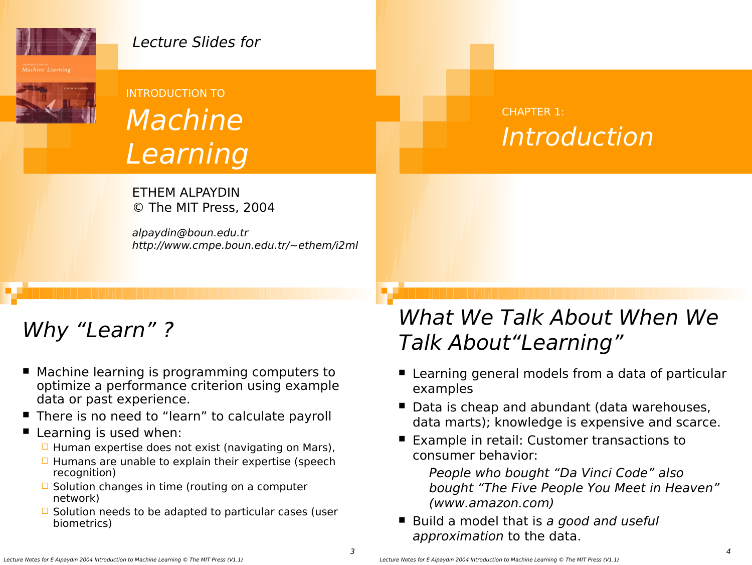

### Lecture Slides for



# INTRODUCTION TO Machine Learning

ETHEM ALPAYDIN © The MIT Press, 2004

alpaydin@boun.edu.tr http://www.cmpe.boun.edu.tr/~ethem/i2ml

# Why "Learn"?

- Machine learning is programming computers to optimize a performance criterion using example data or past experience.
- There is no need to "learn" to calculate payroll

#### $\blacksquare$  Learning is used when:

- $\Box$  Human expertise does not exist (navigating on Mars),
- $\Box$  Humans are unable to explain their expertise (speech recognition)
- $\Box$  Solution changes in time (routing on a computer network)
- $\Box$  Solution needs to be adapted to particular cases (user biometrics)

### CHAPTER 1: Introduction

# What We Talk About When We Talk About"Learning"

- Learning general models from a data of particular examples
- Data is cheap and abundant (data warehouses, data marts); knowledge is expensive and scarce.
- Example in retail: Customer transactions to consumer behavior:
	- People who bought "Da Vinci Code" also bought "The Five People You Meet in Heaven" (www.amazon.com)
- Build a model that is a good and useful approximation to the data.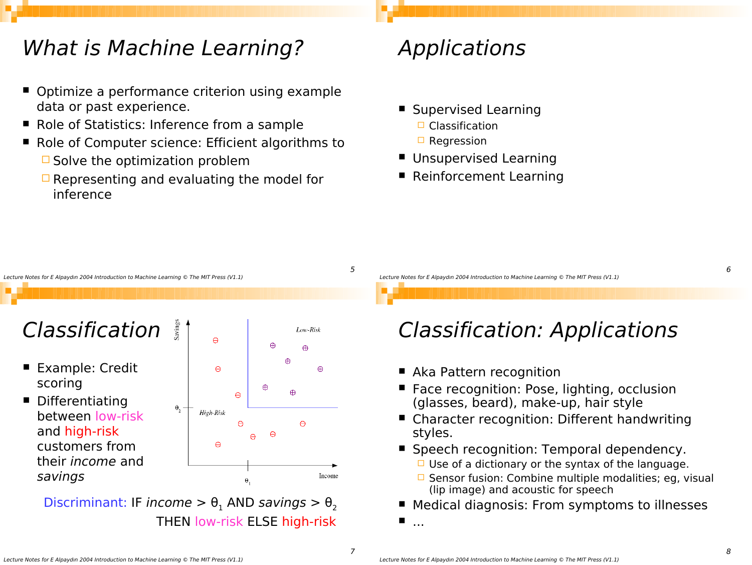### What is Machine Learning?

- Optimize a performance criterion using example data or past experience.
- Role of Statistics: Inference from a sample
- Role of Computer science: Efficient algorithms to  $\Box$  Solve the optimization problem
	- $\Box$  Representing and evaluating the model for inference

# Applications

- **Supervised Learning □ Classification** 
	- $\Box$  Regression
- **Unsupervised Learning**
- Reinforcement Learning



# **Classification**

- Example: Credit scoring
- Differentiating between low-risk and high-risk customers from their income and savings



Discriminant: IF income  $> \theta_1$  AND savings  $> \theta_2$ THEN low-risk ELSE high-risk

Lecture Notes for E Alpaydın 2004 Introduction to Machine Learning © The MIT Press (V1.1)

# Classification: Applications

- Aka Pattern recognition
- Face recognition: Pose, lighting, occlusion (glasses, beard), make-up, hair style
- Character recognition: Different handwriting styles.
- **Speech recognition: Temporal dependency.** 
	- $\Box$  Use of a dictionary or the syntax of the language.
	- $\Box$  Sensor fusion: Combine multiple modalities; eg, visual (lip image) and acoustic for speech
- Medical diagnosis: From symptoms to illnesses
- ...

5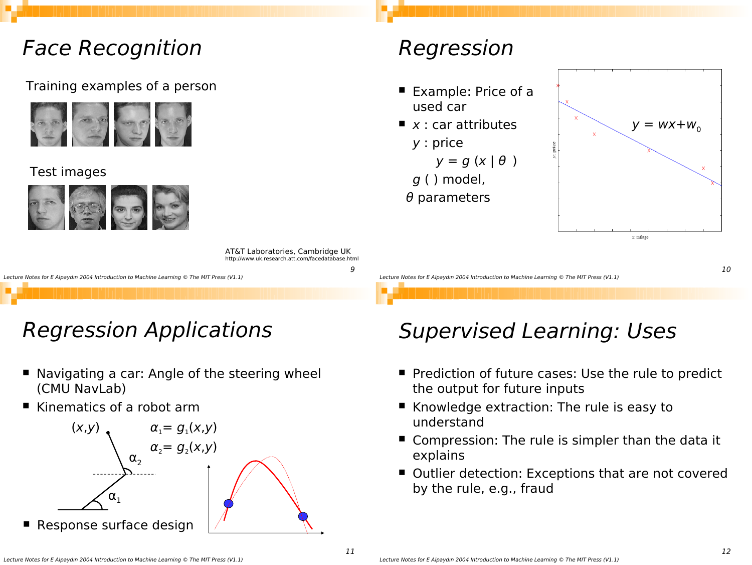### Face Recognition

#### Training examples of a person



#### Test images



AT&T Laboratories, Cambridge UK http://www.uk.research.att.com/facedatabase.html

Lecture Notes for E Alpaydın 2004 Introduction to Machine Learning © The MIT Press (V1.1)

# Regression Applications

- Navigating a car: Angle of the steering wheel (CMU NavLab)
- Kinematics of a robot arm



# Regression

- Example: Price of a used car
- $\blacksquare$  x : car attributes
	- y : price  $y = g(x | \theta)$
	- g ( ) model,
- $\theta$  parameters



Lecture Notes for E Alpaydın 2004 Introduction to Machine Learning © The MIT Press (V1.1)

### Supervised Learning: Uses

- **Pediction of future cases: Use the rule to predict** the output for future inputs
- Knowledge extraction: The rule is easy to understand
- Compression: The rule is simpler than the data it explains
- Outlier detection: Exceptions that are not covered by the rule, e.g., fraud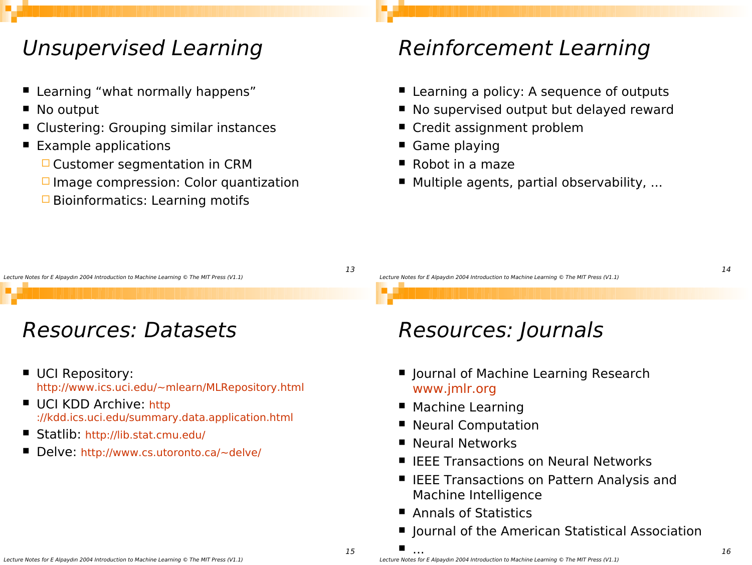### Unsupervised Learning

- **E** Learning "what normally happens"
- No output
- Clustering: Grouping similar instances
- Example applications
	- $\Box$  Customer segmentation in CRM
	- $\Box$  Image compression: Color quantization
	- $\Box$  Bioinformatics: Learning motifs

### Reinforcement Learning

- Learning a policy: A sequence of outputs
- No supervised output but delayed reward
- Credit assignment problem
- Game playing
- Robot in a maze
- Multiple agents, partial observability, ...

#### Lecture Notes for E Alpaydın 2004 Introduction to Machine Learning © The MIT Press (V1.1)

### Resources: Datasets

- UCI Repository: http://www.ics.uci.edu/~mlearn/MLRepository.html
- UCI KDD Archive: http ://kdd.ics.uci.edu/summary.data.application.html
- Statlib: http://lib.stat.cmu.edu/
- Delve: http://www.cs.utoronto.ca/~delve/

Lecture Notes for E Alpaydın 2004 Introduction to Machine Learning © The MIT Press (V1.1)

# Resources: Journals

- **I** Journal of Machine Learning Research www.jmlr.org
- Machine Learning
- Neural Computation
- Neural Networks
- **IFEE Transactions on Neural Networks**
- IEEE Transactions on Pattern Analysis and Machine Intelligence
- Annals of Statistics
- Journal of the American Statistical Association

15

13